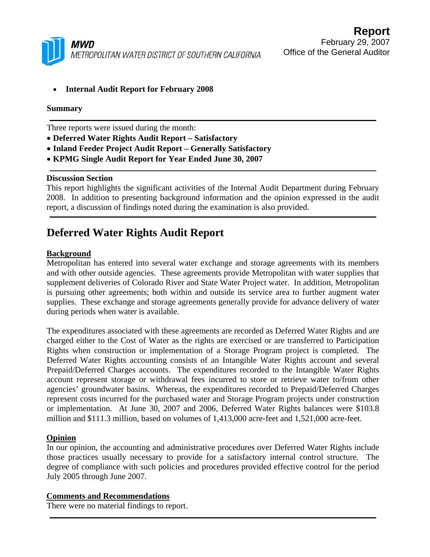

• **Internal Audit Report for February 2008** 

#### **Summary**

Three reports were issued during the month:

- **Deferred Water Rights Audit Report Satisfactory**
- **Inland Feeder Project Audit Report Generally Satisfactory**
- **KPMG Single Audit Report for Year Ended June 30, 2007**

#### **Discussion Section**

This report highlights the significant activities of the Internal Audit Department during February 2008. In addition to presenting background information and the opinion expressed in the audit report, a discussion of findings noted during the examination is also provided.

## **Deferred Water Rights Audit Report**

#### **Background**

Metropolitan has entered into several water exchange and storage agreements with its members and with other outside agencies. These agreements provide Metropolitan with water supplies that supplement deliveries of Colorado River and State Water Project water. In addition, Metropolitan is pursuing other agreements; both within and outside its service area to further augment water supplies. These exchange and storage agreements generally provide for advance delivery of water during periods when water is available.

The expenditures associated with these agreements are recorded as Deferred Water Rights and are charged either to the Cost of Water as the rights are exercised or are transferred to Participation Rights when construction or implementation of a Storage Program project is completed. The Deferred Water Rights accounting consists of an Intangible Water Rights account and several Prepaid/Deferred Charges accounts. The expenditures recorded to the Intangible Water Rights account represent storage or withdrawal fees incurred to store or retrieve water to/from other agencies' groundwater basins. Whereas, the expenditures recorded to Prepaid/Deferred Charges represent costs incurred for the purchased water and Storage Program projects under construction or implementation. At June 30, 2007 and 2006, Deferred Water Rights balances were \$103.8 million and \$111.3 million, based on volumes of 1,413,000 acre-feet and 1,521,000 acre-feet.

#### **Opinion**

In our opinion, the accounting and administrative procedures over Deferred Water Rights include those practices usually necessary to provide for a satisfactory internal control structure. The degree of compliance with such policies and procedures provided effective control for the period July 2005 through June 2007.

#### **Comments and Recommendations**

There were no material findings to report.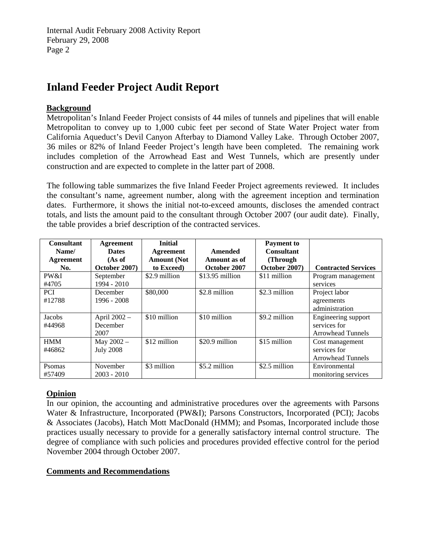Internal Audit February 2008 Activity Report February 29, 2008 Page 2

## **Inland Feeder Project Audit Report**

## **Background**

Metropolitan's Inland Feeder Project consists of 44 miles of tunnels and pipelines that will enable Metropolitan to convey up to 1,000 cubic feet per second of State Water Project water from California Aqueduct's Devil Canyon Afterbay to Diamond Valley Lake. Through October 2007, 36 miles or 82% of Inland Feeder Project's length have been completed. The remaining work includes completion of the Arrowhead East and West Tunnels, which are presently under construction and are expected to complete in the latter part of 2008.

The following table summarizes the five Inland Feeder Project agreements reviewed. It includes the consultant's name, agreement number, along with the agreement inception and termination dates. Furthermore, it shows the initial not-to-exceed amounts, discloses the amended contract totals, and lists the amount paid to the consultant through October 2007 (our audit date). Finally, the table provides a brief description of the contracted services.

| <b>Consultant</b><br>Name/ | Agreement<br><b>Dates</b> | <b>Initial</b><br>Agreement | Amended          | <b>Payment</b> to<br><b>Consultant</b> |                            |
|----------------------------|---------------------------|-----------------------------|------------------|----------------------------------------|----------------------------|
| Agreement                  | (As of                    | <b>Amount</b> (Not          | Amount as of     | (Through)                              |                            |
| No.                        | October 2007)             | to Exceed                   | October 2007     | October 2007)                          | <b>Contracted Services</b> |
| PW&I                       | September                 | \$2.9 million               | $$13.95$ million | \$11 million                           | Program management         |
| #4705                      | 1994 - 2010               |                             |                  |                                        | services                   |
| <b>PCI</b>                 | December                  | \$80,000                    | \$2.8 million    | \$2.3 million                          | Project labor              |
| #12788                     | $1996 - 2008$             |                             |                  |                                        | agreements                 |
|                            |                           |                             |                  |                                        | administration             |
| Jacobs                     | April 2002 -              | \$10 million                | \$10 million     | \$9.2 million                          | Engineering support        |
| #44968                     | December                  |                             |                  |                                        | services for               |
|                            | 2007                      |                             |                  |                                        | <b>Arrowhead Tunnels</b>   |
| <b>HMM</b>                 | May $2002 -$              | \$12 million                | \$20.9 million   | \$15 million                           | Cost management            |
| #46862                     | <b>July 2008</b>          |                             |                  |                                        | services for               |
|                            |                           |                             |                  |                                        | <b>Arrowhead Tunnels</b>   |
| Psomas                     | November                  | \$3 million                 | \$5.2 million    | \$2.5 million                          | Environmental              |
| #57409                     | $2003 - 2010$             |                             |                  |                                        | monitoring services        |

## **Opinion**

In our opinion, the accounting and administrative procedures over the agreements with Parsons Water & Infrastructure, Incorporated (PW&I); Parsons Constructors, Incorporated (PCI); Jacobs & Associates (Jacobs), Hatch Mott MacDonald (HMM); and Psomas, Incorporated include those practices usually necessary to provide for a generally satisfactory internal control structure. The degree of compliance with such policies and procedures provided effective control for the period November 2004 through October 2007.

## **Comments and Recommendations**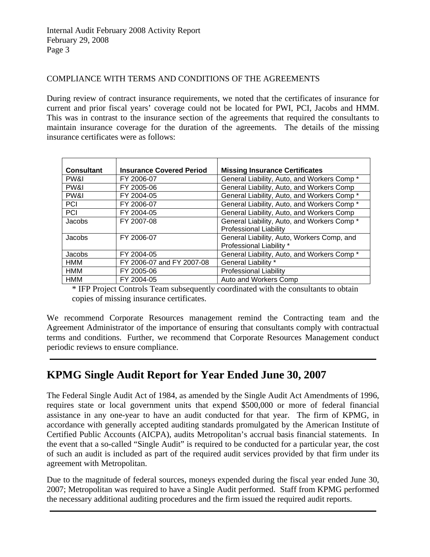### COMPLIANCE WITH TERMS AND CONDITIONS OF THE AGREEMENTS

During review of contract insurance requirements, we noted that the certificates of insurance for current and prior fiscal years' coverage could not be located for PWI, PCI, Jacobs and HMM. This was in contrast to the insurance section of the agreements that required the consultants to maintain insurance coverage for the duration of the agreements. The details of the missing insurance certificates were as follows:

| <b>Consultant</b> | <b>Insurance Covered Period</b> | <b>Missing Insurance Certificates</b>       |
|-------------------|---------------------------------|---------------------------------------------|
| PW&I              | FY 2006-07                      | General Liability, Auto, and Workers Comp*  |
| PW&I              | FY 2005-06                      | General Liability, Auto, and Workers Comp   |
| PW&I              | FY 2004-05                      | General Liability, Auto, and Workers Comp*  |
| PCI               | FY 2006-07                      | General Liability, Auto, and Workers Comp * |
| PCI               | FY 2004-05                      | General Liability, Auto, and Workers Comp   |
| Jacobs            | FY 2007-08                      | General Liability, Auto, and Workers Comp*  |
|                   |                                 | <b>Professional Liability</b>               |
| Jacobs            | FY 2006-07                      | General Liability, Auto, Workers Comp, and  |
|                   |                                 | Professional Liability *                    |
| Jacobs            | FY 2004-05                      | General Liability, Auto, and Workers Comp * |
| <b>HMM</b>        | FY 2006-07 and FY 2007-08       | General Liability *                         |
| HMM               | FY 2005-06                      | <b>Professional Liability</b>               |
| <b>HMM</b>        | FY 2004-05                      | Auto and Workers Comp                       |

\* IFP Project Controls Team subsequently coordinated with the consultants to obtain copies of missing insurance certificates.

We recommend Corporate Resources management remind the Contracting team and the Agreement Administrator of the importance of ensuring that consultants comply with contractual terms and conditions. Further, we recommend that Corporate Resources Management conduct periodic reviews to ensure compliance.

# **KPMG Single Audit Report for Year Ended June 30, 2007**

The Federal Single Audit Act of 1984, as amended by the Single Audit Act Amendments of 1996, requires state or local government units that expend \$500,000 or more of federal financial assistance in any one-year to have an audit conducted for that year. The firm of KPMG, in accordance with generally accepted auditing standards promulgated by the American Institute of Certified Public Accounts (AICPA), audits Metropolitan's accrual basis financial statements. In the event that a so-called "Single Audit" is required to be conducted for a particular year, the cost of such an audit is included as part of the required audit services provided by that firm under its agreement with Metropolitan.

Due to the magnitude of federal sources, moneys expended during the fiscal year ended June 30, 2007; Metropolitan was required to have a Single Audit performed. Staff from KPMG performed the necessary additional auditing procedures and the firm issued the required audit reports.